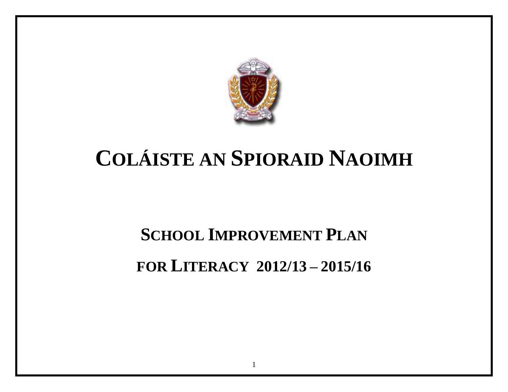

# **COLÁISTE AN SPIORAID NAOIMH**

# **SCHOOL IMPROVEMENT PLAN FOR LITERACY 2012/13 – 2015/16**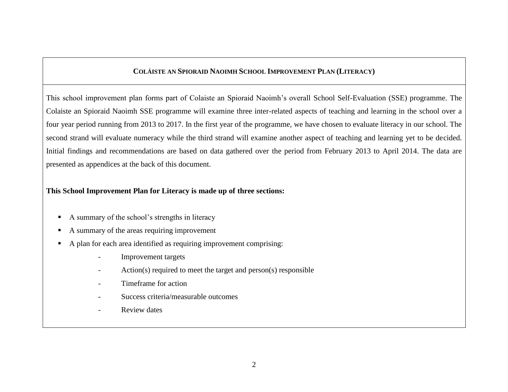#### **COLÁISTE AN SPIORAID NAOIMH SCHOOL IMPROVEMENT PLAN (LITERACY)**

This school improvement plan forms part of Colaiste an Spioraid Naoimh's overall School Self-Evaluation (SSE) programme. The Colaiste an Spioraid Naoimh SSE programme will examine three inter-related aspects of teaching and learning in the school over a four year period running from 2013 to 2017. In the first year of the programme, we have chosen to evaluate literacy in our school. The second strand will evaluate numeracy while the third strand will examine another aspect of teaching and learning yet to be decided. Initial findings and recommendations are based on data gathered over the period from February 2013 to April 2014. The data are presented as appendices at the back of this document.

#### **This School Improvement Plan for Literacy is made up of three sections:**

- A summary of the school's strengths in literacy
- A summary of the areas requiring improvement
- A plan for each area identified as requiring improvement comprising:
	- Improvement targets
	- Action(s) required to meet the target and person(s) responsible
	- Timeframe for action
	- Success criteria/measurable outcomes
	- Review dates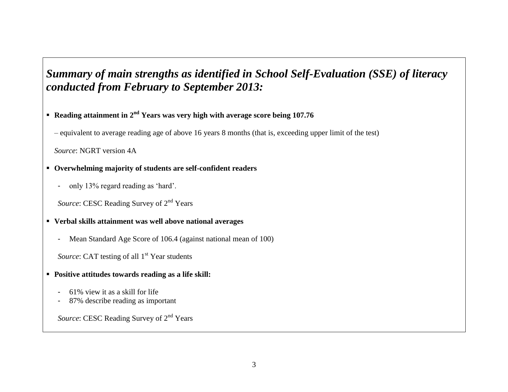# *Summary of main strengths as identified in School Self-Evaluation (SSE) of literacy conducted from February to September 2013:*

### **Reading attainment in 2nd Years was very high with average score being 107.76**

– equivalent to average reading age of above 16 years 8 months (that is, exceeding upper limit of the test)

*Source*: NGRT version 4A

#### **Overwhelming majority of students are self-confident readers**

- only 13% regard reading as 'hard'.

*Source*: CESC Reading Survey of 2<sup>nd</sup> Years

### **Verbal skills attainment was well above national averages**

- Mean Standard Age Score of 106.4 (against national mean of 100)

*Source*: CAT testing of all 1<sup>st</sup> Year students

- **Positive attitudes towards reading as a life skill:**
	- 61% view it as a skill for life
	- 87% describe reading as important

*Source*: CESC Reading Survey of 2<sup>nd</sup> Years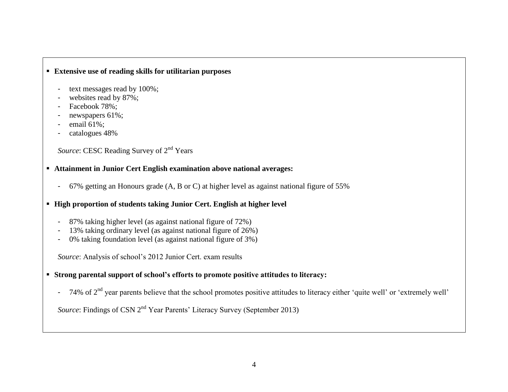#### **Extensive use of reading skills for utilitarian purposes**

- text messages read by 100%;
- websites read by 87%;
- Facebook 78%;
- newspapers 61%;
- email 61%;
- catalogues 48%

*Source*: CESC Reading Survey of 2<sup>nd</sup> Years

#### **Attainment in Junior Cert English examination above national averages:**

- 67% getting an Honours grade (A, B or C) at higher level as against national figure of 55%
- **High proportion of students taking Junior Cert. English at higher level** 
	- 87% taking higher level (as against national figure of 72%)
	- 13% taking ordinary level (as against national figure of 26%)
	- 0% taking foundation level (as against national figure of 3%)

*Source*: Analysis of school's 2012 Junior Cert. exam results

#### **Strong parental support of school's efforts to promote positive attitudes to literacy:**

- 74% of 2<sup>nd</sup> year parents believe that the school promotes positive attitudes to literacy either 'quite well' or 'extremely well'

*Source*: Findings of CSN 2<sup>nd</sup> Year Parents' Literacy Survey (September 2013)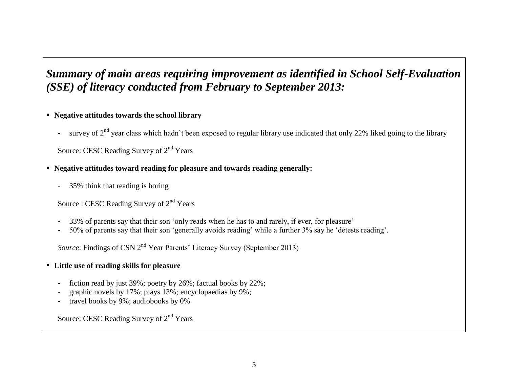# *Summary of main areas requiring improvement as identified in School Self-Evaluation (SSE) of literacy conducted from February to September 2013:*

#### **Negative attitudes towards the school library**

- survey of 2<sup>nd</sup> year class which hadn't been exposed to regular library use indicated that only 22% liked going to the library

Source: CESC Reading Survey of 2<sup>nd</sup> Years

#### **Negative attitudes toward reading for pleasure and towards reading generally:**

- 35% think that reading is boring

Source : CESC Reading Survey of  $2<sup>nd</sup>$  Years

- 33% of parents say that their son 'only reads when he has to and rarely, if ever, for pleasure'
- 50% of parents say that their son 'generally avoids reading' while a further 3% say he 'detests reading'.

*Source*: Findings of CSN 2<sup>nd</sup> Year Parents' Literacy Survey (September 2013)

#### **Little use of reading skills for pleasure**

- fiction read by just 39%; poetry by 26%; factual books by 22%;
- graphic novels by 17%; plays 13%; encyclopaedias by 9%;
- travel books by 9%; audiobooks by 0%

Source: CESC Reading Survey of  $2<sup>nd</sup>$  Years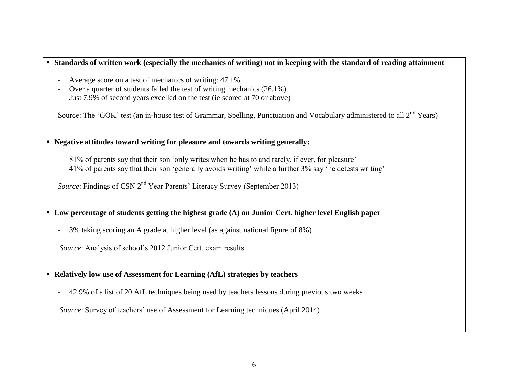#### **Standards of written work (especially the mechanics of writing) not in keeping with the standard of reading attainment**

- Average score on a test of mechanics of writing: 47.1%
- Over a quarter of students failed the test of writing mechanics (26.1%)
- Just 7.9% of second years excelled on the test (ie scored at 70 or above)

Source: The 'GOK' test (an in-house test of Grammar, Spelling, Punctuation and Vocabulary administered to all  $2^{nd}$  Years)

#### **Negative attitudes toward writing for pleasure and towards writing generally:**

- 81% of parents say that their son 'only writes when he has to and rarely, if ever, for pleasure'
- 41% of parents say that their son 'generally avoids writing' while a further 3% say 'he detests writing'

*Source*: Findings of CSN 2<sup>nd</sup> Year Parents' Literacy Survey (September 2013)

#### **Low percentage of students getting the highest grade (A) on Junior Cert. higher level English paper**

- 3% taking scoring an A grade at higher level (as against national figure of 8%)

*Source*: Analysis of school's 2012 Junior Cert. exam results

#### **Relatively low use of Assessment for Learning (AfL) strategies by teachers**

- 42.9% of a list of 20 AfL techniques being used by teachers lessons during previous two weeks

*Source*: Survey of teachers' use of Assessment for Learning techniques (April 2014)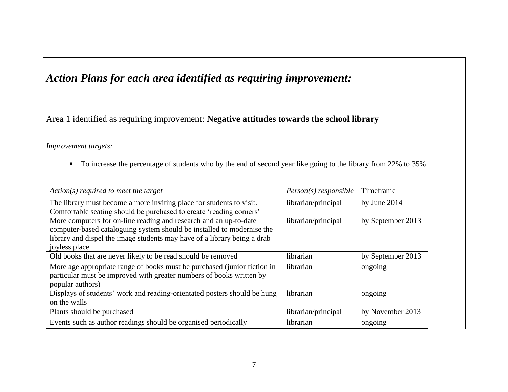# *Action Plans for each area identified as requiring improvement:*

## Area 1 identified as requiring improvement: **Negative attitudes towards the school library**

*Improvement targets:*

To increase the percentage of students who by the end of second year like going to the library from 22% to 35%

| $Action(s)$ required to meet the target                                                                                                                              | $Person(s)$ responsible | Timeframe         |
|----------------------------------------------------------------------------------------------------------------------------------------------------------------------|-------------------------|-------------------|
| The library must become a more inviting place for students to visit.                                                                                                 | librarian/principal     | by June $2014$    |
| Comfortable seating should be purchased to create 'reading corners'                                                                                                  |                         |                   |
| More computers for on-line reading and research and an up-to-date                                                                                                    | librarian/principal     | by September 2013 |
| computer-based cataloguing system should be installed to modernise the                                                                                               |                         |                   |
| library and dispel the image students may have of a library being a drab                                                                                             |                         |                   |
| joyless place                                                                                                                                                        |                         |                   |
| Old books that are never likely to be read should be removed                                                                                                         | librarian               | by September 2013 |
| More age appropriate range of books must be purchased (junior fiction in<br>particular must be improved with greater numbers of books written by<br>popular authors) | librarian               | ongoing           |
| Displays of students' work and reading-orientated posters should be hung                                                                                             | librarian               | ongoing           |
| on the walls                                                                                                                                                         |                         |                   |
| Plants should be purchased                                                                                                                                           | librarian/principal     | by November 2013  |
| Events such as author readings should be organised periodically                                                                                                      | librarian               | ongoing           |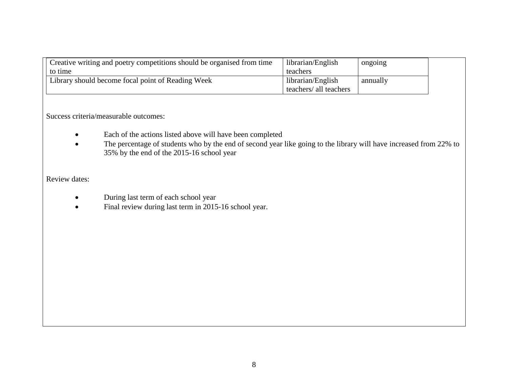| Creative writing and poetry competitions should be organised from time | librarian/English      | ongoing  |  |
|------------------------------------------------------------------------|------------------------|----------|--|
| to time                                                                | teachers               |          |  |
| Library should become focal point of Reading Week                      | librarian/English      | annually |  |
|                                                                        | teachers/ all teachers |          |  |

- Each of the actions listed above will have been completed
- The percentage of students who by the end of second year like going to the library will have increased from 22% to 35% by the end of the 2015-16 school year

- During last term of each school year
- Final review during last term in 2015-16 school year.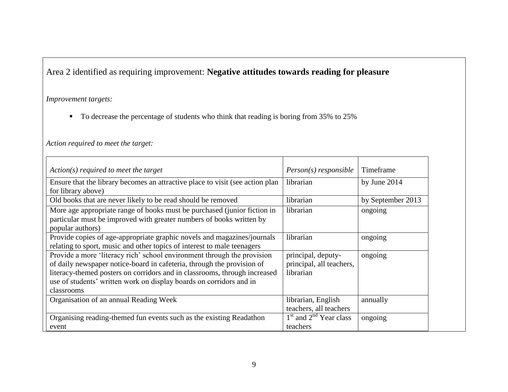# Area 2 identified as requiring improvement: **Negative attitudes towards reading for pleasure**

#### *Improvement targets:*

To decrease the percentage of students who think that reading is boring from 35% to 25%

#### *Action required to meet the target:*

| Action(s) required to meet the target                                                                                                                                                                                                                                                                               | $Person(s)$ responsible                                     | Timeframe         |
|---------------------------------------------------------------------------------------------------------------------------------------------------------------------------------------------------------------------------------------------------------------------------------------------------------------------|-------------------------------------------------------------|-------------------|
| Ensure that the library becomes an attractive place to visit (see action plan)<br>for library above)                                                                                                                                                                                                                | librarian                                                   | by June $2014$    |
| Old books that are never likely to be read should be removed                                                                                                                                                                                                                                                        | librarian                                                   | by September 2013 |
| More age appropriate range of books must be purchased (junior fiction in<br>particular must be improved with greater numbers of books written by<br>popular authors)                                                                                                                                                | librarian                                                   | ongoing           |
| Provide copies of age-appropriate graphic novels and magazines/journals<br>relating to sport, music and other topics of interest to male teenagers                                                                                                                                                                  | librarian                                                   | ongoing           |
| Provide a more 'literacy rich' school environment through the provision<br>of daily newspaper notice-board in cafeteria, through the provision of<br>literacy-themed posters on corridors and in classrooms, through increased<br>use of students' written work on display boards on corridors and in<br>classrooms | principal, deputy-<br>principal, all teachers,<br>librarian | ongoing           |
| Organisation of an annual Reading Week                                                                                                                                                                                                                                                                              | librarian, English<br>teachers, all teachers                | annually          |
| Organising reading-themed fun events such as the existing Readathon<br>event                                                                                                                                                                                                                                        | $1st$ and $2nd$ Year class<br>teachers                      | ongoing           |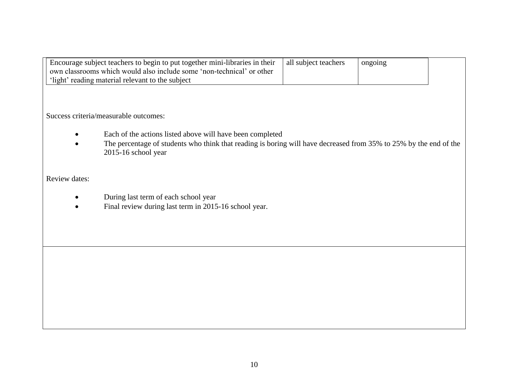| Encourage subject teachers to begin to put together mini-libraries in their | all subject teachers | ongoing |  |
|-----------------------------------------------------------------------------|----------------------|---------|--|
| own classrooms which would also include some 'non-technical' or other       |                      |         |  |
| 'light' reading material relevant to the subject                            |                      |         |  |

- Each of the actions listed above will have been completed
- The percentage of students who think that reading is boring will have decreased from 35% to 25% by the end of the 2015-16 school year

- During last term of each school year
- Final review during last term in 2015-16 school year.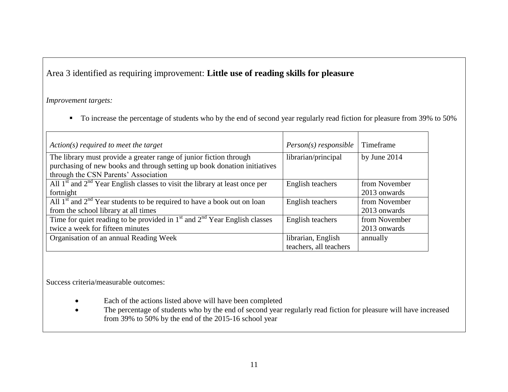## Area 3 identified as requiring improvement: **Little use of reading skills for pleasure**

#### *Improvement targets:*

To increase the percentage of students who by the end of second year regularly read fiction for pleasure from 39% to 50%

| $Action(s)$ required to meet the target                                         | $Person(s)$ responsible | Timeframe      |
|---------------------------------------------------------------------------------|-------------------------|----------------|
| The library must provide a greater range of junior fiction through              | librarian/principal     | by June $2014$ |
| purchasing of new books and through setting up book donation initiatives        |                         |                |
| through the CSN Parents' Association                                            |                         |                |
| All $1st$ and $2nd$ Year English classes to visit the library at least once per | English teachers        | from November  |
| fortnight                                                                       |                         | 2013 onwards   |
| All $1st$ and $2nd$ Year students to be required to have a book out on loan     | English teachers        | from November  |
| from the school library at all times                                            |                         | 2013 onwards   |
| Time for quiet reading to be provided in $1st$ and $2nd$ Year English classes   | English teachers        | from November  |
| twice a week for fifteen minutes                                                |                         | 2013 onwards   |
| Organisation of an annual Reading Week                                          | librarian, English      | annually       |
|                                                                                 | teachers, all teachers  |                |

Success criteria/measurable outcomes:

- Each of the actions listed above will have been completed
- The percentage of students who by the end of second year regularly read fiction for pleasure will have increased from 39% to 50% by the end of the 2015-16 school year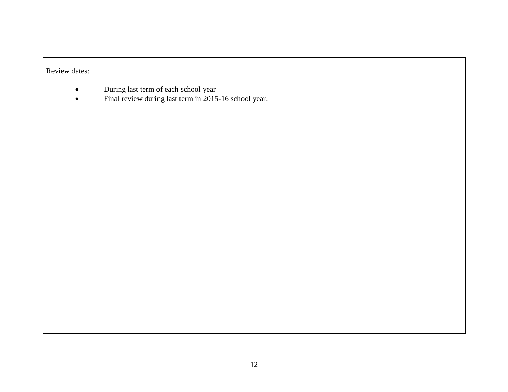- During last term of each school year
- Final review during last term in 2015-16 school year.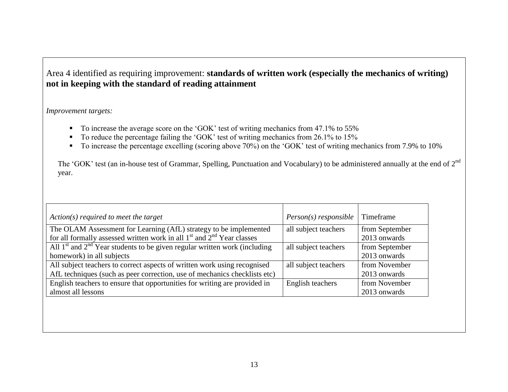## Area 4 identified as requiring improvement: **standards of written work (especially the mechanics of writing) not in keeping with the standard of reading attainment**

#### *Improvement targets:*

- To increase the average score on the 'GOK' test of writing mechanics from 47.1% to 55%
- $\blacksquare$  To reduce the percentage failing the 'GOK' test of writing mechanics from 26.1% to 15%
- To increase the percentage excelling (scoring above 70%) on the 'GOK' test of writing mechanics from 7.9% to 10%

The 'GOK' test (an in-house test of Grammar, Spelling, Punctuation and Vocabulary) to be administered annually at the end of 2<sup>nd</sup> year.

| $Action(s)$ required to meet the target                                       | $Person(s)$ responsible | Timeframe      |
|-------------------------------------------------------------------------------|-------------------------|----------------|
| The OLAM Assessment for Learning (AfL) strategy to be implemented             | all subject teachers    | from September |
| for all formally assessed written work in all $1st$ and $2nd$ Year classes    |                         | 2013 onwards   |
| All $1st$ and $2nd$ Year students to be given regular written work (including | all subject teachers    | from September |
| homework) in all subjects                                                     |                         | 2013 onwards   |
| All subject teachers to correct aspects of written work using recognised      | all subject teachers    | from November  |
| AfL techniques (such as peer correction, use of mechanics checklists etc)     |                         | 2013 onwards   |
| English teachers to ensure that opportunities for writing are provided in     | English teachers        | from November  |
| almost all lessons                                                            |                         | 2013 onwards   |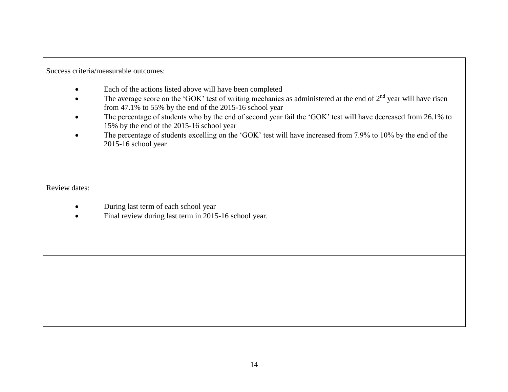- Each of the actions listed above will have been completed
- The average score on the 'GOK' test of writing mechanics as administered at the end of  $2<sup>nd</sup>$  year will have risen from 47.1% to 55% by the end of the 2015-16 school year
- The percentage of students who by the end of second year fail the 'GOK' test will have decreased from 26.1% to 15% by the end of the 2015-16 school year
- The percentage of students excelling on the 'GOK' test will have increased from 7.9% to 10% by the end of the 2015-16 school year

- During last term of each school year
- Final review during last term in 2015-16 school year.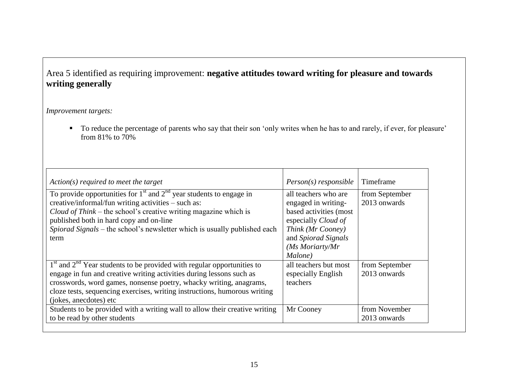# Area 5 identified as requiring improvement: **negative attitudes toward writing for pleasure and towards writing generally**

#### *Improvement targets:*

 To reduce the percentage of parents who say that their son 'only writes when he has to and rarely, if ever, for pleasure' from 81% to 70%

| Action(s) required to meet the target                                                                                                                                                                                                                                                                                              | $Person(s)$ responsible                                                                                                                                                | Timeframe                      |
|------------------------------------------------------------------------------------------------------------------------------------------------------------------------------------------------------------------------------------------------------------------------------------------------------------------------------------|------------------------------------------------------------------------------------------------------------------------------------------------------------------------|--------------------------------|
| To provide opportunities for $1st$ and $2nd$ year students to engage in<br>creative/informal/fun writing activities – such as:<br>Cloud of Think – the school's creative writing magazine which is<br>published both in hard copy and on-line<br>Spiorad Signals – the school's newsletter which is usually published each<br>term | all teachers who are<br>engaged in writing-<br>based activities (most<br>especially Cloud of<br>Think (Mr Cooney)<br>and Spiorad Signals<br>(Ms Moriarty/Mr<br>Malone) | from September<br>2013 onwards |
| $1st$ and $2nd$ Year students to be provided with regular opportunities to<br>engage in fun and creative writing activities during lessons such as<br>crosswords, word games, nonsense poetry, whacky writing, anagrams,<br>cloze tests, sequencing exercises, writing instructions, humorous writing<br>(jokes, anecdotes) etc    | all teachers but most<br>especially English<br>teachers                                                                                                                | from September<br>2013 onwards |
| Students to be provided with a writing wall to allow their creative writing<br>to be read by other students                                                                                                                                                                                                                        | Mr Cooney                                                                                                                                                              | from November<br>2013 onwards  |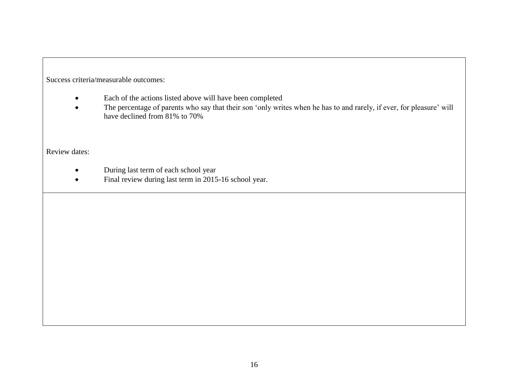- Each of the actions listed above will have been completed
- The percentage of parents who say that their son 'only writes when he has to and rarely, if ever, for pleasure' will have declined from 81% to 70%

- During last term of each school year
- Final review during last term in 2015-16 school year.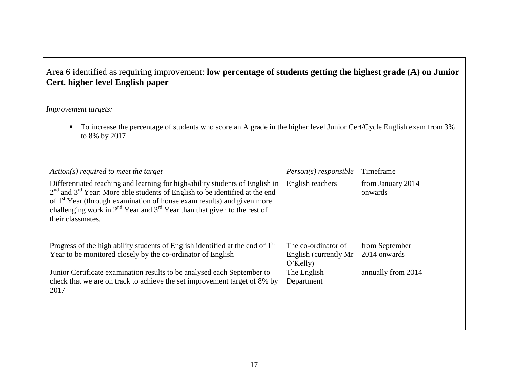# Area 6 identified as requiring improvement: **low percentage of students getting the highest grade (A) on Junior Cert. higher level English paper**

#### *Improvement targets:*

To increase the percentage of students who score an A grade in the higher level Junior Cert/Cycle English exam from 3% to 8% by 2017

| Action(s) required to meet the target                                                                                                                                                                                                                                                                                                                            | $Person(s)$ responsible                                      | Timeframe                      |
|------------------------------------------------------------------------------------------------------------------------------------------------------------------------------------------------------------------------------------------------------------------------------------------------------------------------------------------------------------------|--------------------------------------------------------------|--------------------------------|
| Differentiated teaching and learning for high-ability students of English in<br>$2nd$ and $3rd$ Year: More able students of English to be identified at the end<br>of 1 <sup>st</sup> Year (through examination of house exam results) and given more<br>challenging work in $2^{nd}$ Year and $3^{rd}$ Year than that given to the rest of<br>their classmates. | English teachers                                             | from January 2014<br>onwards   |
| Progress of the high ability students of English identified at the end of $1st$<br>Year to be monitored closely by the co-ordinator of English                                                                                                                                                                                                                   | The co-ordinator of<br>English (currently Mr)<br>$O'$ Kelly) | from September<br>2014 onwards |
| Junior Certificate examination results to be analysed each September to<br>check that we are on track to achieve the set improvement target of 8% by<br>2017                                                                                                                                                                                                     | The English<br>Department                                    | annually from 2014             |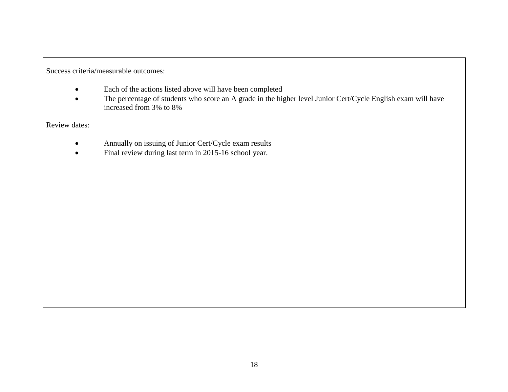- Each of the actions listed above will have been completed
- The percentage of students who score an A grade in the higher level Junior Cert/Cycle English exam will have increased from 3% to 8%

- Annually on issuing of Junior Cert/Cycle exam results
- Final review during last term in 2015-16 school year.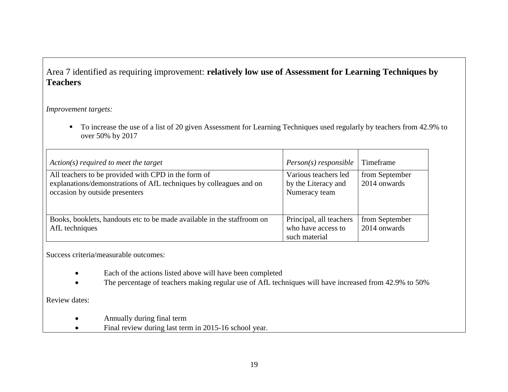## Area 7 identified as requiring improvement: **relatively low use of Assessment for Learning Techniques by Teachers**

*Improvement targets:*

To increase the use of a list of 20 given Assessment for Learning Techniques used regularly by teachers from 42.9% to over 50% by 2017

| Action(s) required to meet the target                                                                                                                       | $Person(s)$ responsible                                        | Timeframe                      |
|-------------------------------------------------------------------------------------------------------------------------------------------------------------|----------------------------------------------------------------|--------------------------------|
| All teachers to be provided with CPD in the form of<br>explanations/demonstrations of AfL techniques by colleagues and on<br>occasion by outside presenters | Various teachers led<br>by the Literacy and<br>Numeracy team   | from September<br>2014 onwards |
| Books, booklets, handouts etc to be made available in the staffroom on<br>AfL techniques                                                                    | Principal, all teachers<br>who have access to<br>such material | from September<br>2014 onwards |

Success criteria/measurable outcomes:

- Each of the actions listed above will have been completed
- The percentage of teachers making regular use of AfL techniques will have increased from 42.9% to 50%

- Annually during final term
- Final review during last term in 2015-16 school year.